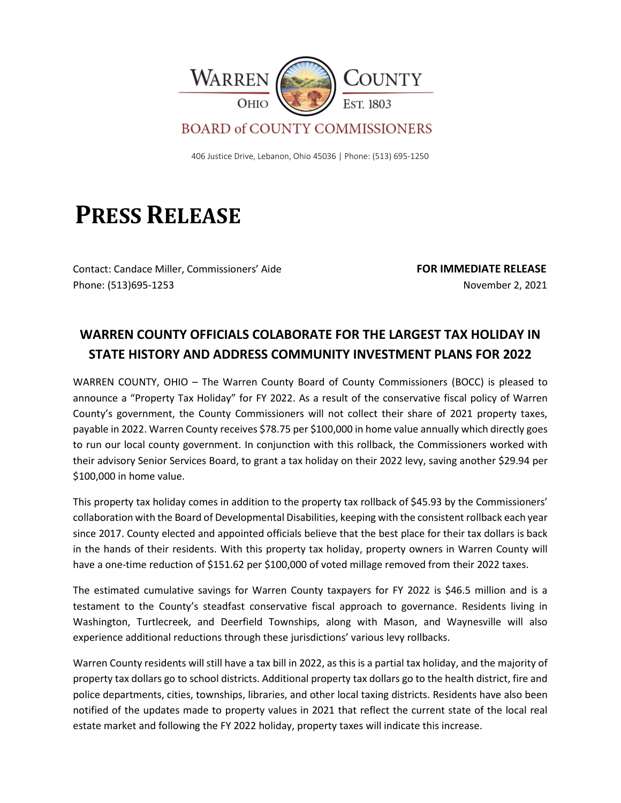

## **BOARD of COUNTY COMMISSIONERS**

406 Justice Drive, Lebanon, Ohio 45036 | Phone: (513) 695-1250

## **PRESS RELEASE**

Contact: Candace Miller, Commissioners' Aide **FOR IMMEDIATE RELEASE** Phone: (513)695-1253 November 2, 2021

## **WARREN COUNTY OFFICIALS COLABORATE FOR THE LARGEST TAX HOLIDAY IN STATE HISTORY AND ADDRESS COMMUNITY INVESTMENT PLANS FOR 2022**

WARREN COUNTY, OHIO – The Warren County Board of County Commissioners (BOCC) is pleased to announce a "Property Tax Holiday" for FY 2022. As a result of the conservative fiscal policy of Warren County's government, the County Commissioners will not collect their share of 2021 property taxes, payable in 2022. Warren County receives \$78.75 per \$100,000 in home value annually which directly goes to run our local county government. In conjunction with this rollback, the Commissioners worked with their advisory Senior Services Board, to grant a tax holiday on their 2022 levy, saving another \$29.94 per \$100,000 in home value.

This property tax holiday comes in addition to the property tax rollback of \$45.93 by the Commissioners' collaboration with the Board of Developmental Disabilities, keeping with the consistent rollback each year since 2017. County elected and appointed officials believe that the best place for their tax dollars is back in the hands of their residents. With this property tax holiday, property owners in Warren County will have a one-time reduction of \$151.62 per \$100,000 of voted millage removed from their 2022 taxes.

The estimated cumulative savings for Warren County taxpayers for FY 2022 is \$46.5 million and is a testament to the County's steadfast conservative fiscal approach to governance. Residents living in Washington, Turtlecreek, and Deerfield Townships, along with Mason, and Waynesville will also experience additional reductions through these jurisdictions' various levy rollbacks.

Warren County residents will still have a tax bill in 2022, as this is a partial tax holiday, and the majority of property tax dollars go to school districts. Additional property tax dollars go to the health district, fire and police departments, cities, townships, libraries, and other local taxing districts. Residents have also been notified of the updates made to property values in 2021 that reflect the current state of the local real estate market and following the FY 2022 holiday, property taxes will indicate this increase.